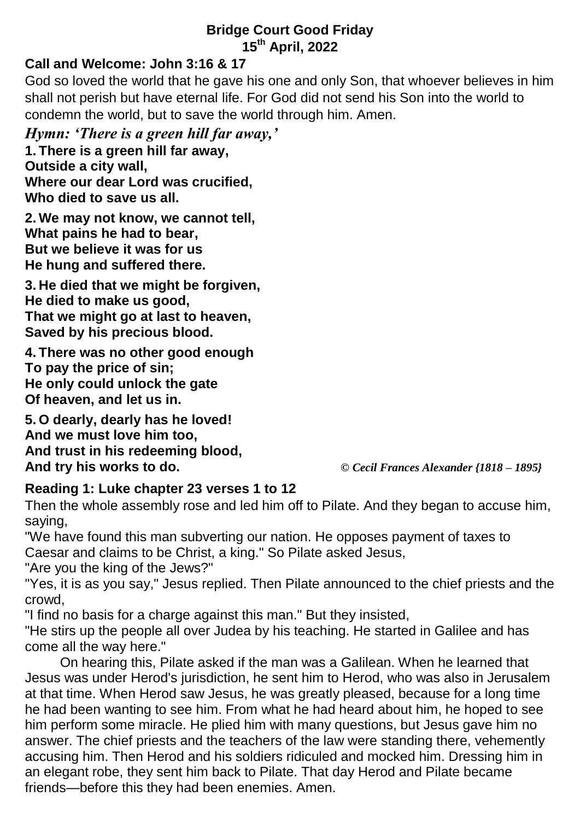### **Bridge Court Good Friday 15th April, 2022**

### **Call and Welcome: John 3:16 & 17**

God so loved the world that he gave his one and only Son, that whoever believes in him shall not perish but have eternal life. For God did not send his Son into the world to condemn the world, but to save the world through him. Amen.

*Hymn: 'There is a green hill far away,'*

**1. There is a green hill far away, Outside a city wall,**

**Where our dear Lord was crucified,**

**Who died to save us all.**

**2. We may not know, we cannot tell, What pains he had to bear, But we believe it was for us He hung and suffered there.**

**3. He died that we might be forgiven, He died to make us good, That we might go at last to heaven, Saved by his precious blood.**

**4. There was no other good enough To pay the price of sin; He only could unlock the gate Of heaven, and let us in.**

**5. O dearly, dearly has he loved! And we must love him too, And trust in his redeeming blood, And try his works to do.** *© Cecil Frances Alexander {1818 – 1895}*

# **Reading 1: Luke chapter 23 verses 1 to 12**

Then the whole assembly rose and led him off to Pilate. And they began to accuse him, saying,

"We have found this man subverting our nation. He opposes payment of taxes to Caesar and claims to be Christ, a king." So Pilate asked Jesus,

"Are you the king of the Jews?"

"Yes, it is as you say," Jesus replied. Then Pilate announced to the chief priests and the crowd,

"I find no basis for a charge against this man." But they insisted,

"He stirs up the people all over Judea by his teaching. He started in Galilee and has come all the way here."

On hearing this, Pilate asked if the man was a Galilean. When he learned that Jesus was under Herod's jurisdiction, he sent him to Herod, who was also in Jerusalem at that time. When Herod saw Jesus, he was greatly pleased, because for a long time he had been wanting to see him. From what he had heard about him, he hoped to see him perform some miracle. He plied him with many questions, but Jesus gave him no answer. The chief priests and the teachers of the law were standing there, vehemently accusing him. Then Herod and his soldiers ridiculed and mocked him. Dressing him in an elegant robe, they sent him back to Pilate. That day Herod and Pilate became friends—before this they had been enemies. Amen.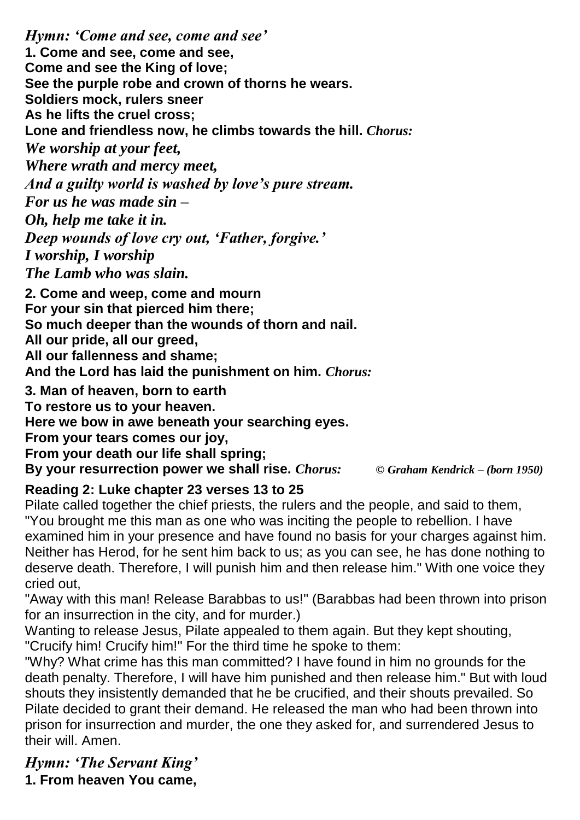*Hymn: 'Come and see, come and see'* **1. Come and see, come and see, Come and see the King of love; See the purple robe and crown of thorns he wears. Soldiers mock, rulers sneer As he lifts the cruel cross; Lone and friendless now, he climbs towards the hill.** *Chorus: We worship at your feet, Where wrath and mercy meet, And a guilty world is washed by love's pure stream. For us he was made sin – Oh, help me take it in. Deep wounds of love cry out, 'Father, forgive.' I worship, I worship The Lamb who was slain.* **2. Come and weep, come and mourn For your sin that pierced him there; So much deeper than the wounds of thorn and nail. All our pride, all our greed, All our fallenness and shame; And the Lord has laid the punishment on him.** *Chorus:* **3. Man of heaven, born to earth To restore us to your heaven. Here we bow in awe beneath your searching eyes. From your tears comes our joy,**

**From your death our life shall spring;**

**By your resurrection power we shall rise.** *Chorus: © Graham Kendrick – (born 1950)*

## **Reading 2: Luke chapter 23 verses 13 to 25**

Pilate called together the chief priests, the rulers and the people, and said to them, "You brought me this man as one who was inciting the people to rebellion. I have examined him in your presence and have found no basis for your charges against him. Neither has Herod, for he sent him back to us; as you can see, he has done nothing to deserve death. Therefore, I will punish him and then release him." With one voice they cried out,

"Away with this man! Release Barabbas to us!" (Barabbas had been thrown into prison for an insurrection in the city, and for murder.)

Wanting to release Jesus, Pilate appealed to them again. But they kept shouting, "Crucify him! Crucify him!" For the third time he spoke to them:

"Why? What crime has this man committed? I have found in him no grounds for the death penalty. Therefore, I will have him punished and then release him." But with loud shouts they insistently demanded that he be crucified, and their shouts prevailed. So Pilate decided to grant their demand. He released the man who had been thrown into prison for insurrection and murder, the one they asked for, and surrendered Jesus to their will. Amen.

*Hymn: 'The Servant King'* **1. From heaven You came,**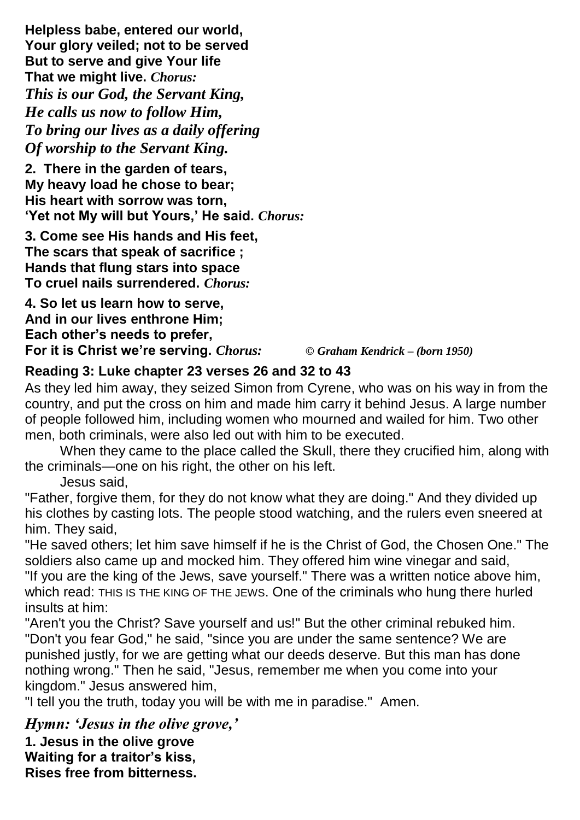**Helpless babe, entered our world, Your glory veiled; not to be served But to serve and give Your life That we might live.** *Chorus: This is our God, the Servant King, He calls us now to follow Him, To bring our lives as a daily offering Of worship to the Servant King.*

**2. There in the garden of tears, My heavy load he chose to bear; His heart with sorrow was torn, 'Yet not My will but Yours,' He said.** *Chorus:*

**3. Come see His hands and His feet, The scars that speak of sacrifice ; Hands that flung stars into space To cruel nails surrendered.** *Chorus:*

**4. So let us learn how to serve, And in our lives enthrone Him; Each other's needs to prefer, For it is Christ we're serving.** *Chorus: © Graham Kendrick – (born 1950)*

### **Reading 3: Luke chapter 23 verses 26 and 32 to 43**

As they led him away, they seized Simon from Cyrene, who was on his way in from the country, and put the cross on him and made him carry it behind Jesus. A large number of people followed him, including women who mourned and wailed for him. Two other men, both criminals, were also led out with him to be executed.

When they came to the place called the Skull, there they crucified him, along with the criminals—one on his right, the other on his left.

Jesus said,

"Father, forgive them, for they do not know what they are doing." And they divided up his clothes by casting lots. The people stood watching, and the rulers even sneered at him. They said,

"He saved others; let him save himself if he is the Christ of God, the Chosen One." The soldiers also came up and mocked him. They offered him wine vinegar and said, "If you are the king of the Jews, save yourself." There was a written notice above him, which read: THIS IS THE KING OF THE JEWS. One of the criminals who hung there hurled insults at him:

"Aren't you the Christ? Save yourself and us!" But the other criminal rebuked him. "Don't you fear God," he said, "since you are under the same sentence? We are punished justly, for we are getting what our deeds deserve. But this man has done nothing wrong." Then he said, "Jesus, remember me when you come into your kingdom." Jesus answered him,

"I tell you the truth, today you will be with me in paradise." Amen.

*Hymn: 'Jesus in the olive grove,'*

**1. Jesus in the olive grove Waiting for a traitor's kiss, Rises free from bitterness.**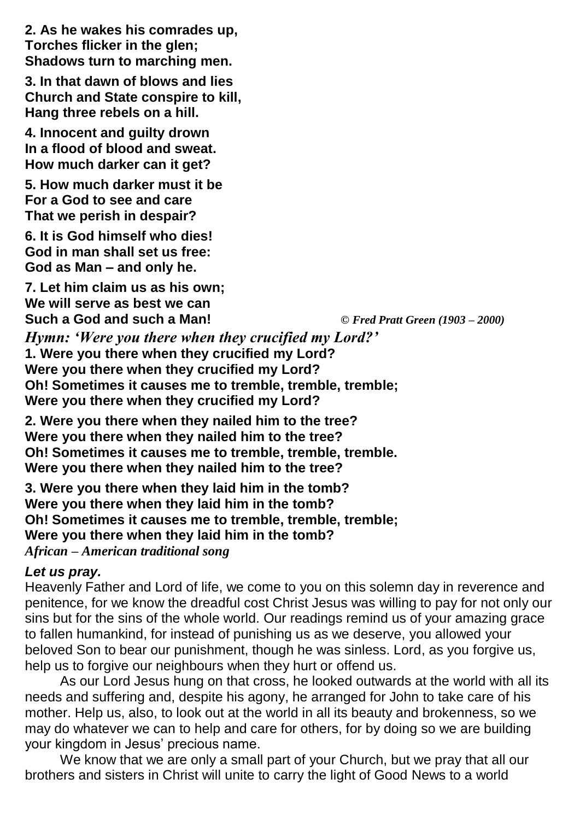**2. As he wakes his comrades up, Torches flicker in the glen; Shadows turn to marching men.**

**3. In that dawn of blows and lies Church and State conspire to kill, Hang three rebels on a hill.**

**4. Innocent and guilty drown In a flood of blood and sweat. How much darker can it get?**

**5. How much darker must it be For a God to see and care That we perish in despair?**

**6. It is God himself who dies! God in man shall set us free: God as Man – and only he.**

**7. Let him claim us as his own; We will serve as best we can Such a God and such a Man!** *© Fred Pratt Green (1903 – 2000)*

*Hymn: 'Were you there when they crucified my Lord?'* **1. Were you there when they crucified my Lord? Were you there when they crucified my Lord? Oh! Sometimes it causes me to tremble, tremble, tremble; Were you there when they crucified my Lord?** 

**2. Were you there when they nailed him to the tree? Were you there when they nailed him to the tree? Oh! Sometimes it causes me to tremble, tremble, tremble. Were you there when they nailed him to the tree?** 

**3. Were you there when they laid him in the tomb? Were you there when they laid him in the tomb? Oh! Sometimes it causes me to tremble, tremble, tremble; Were you there when they laid him in the tomb?**  *African – American traditional song*

#### *Let us pray.*

Heavenly Father and Lord of life, we come to you on this solemn day in reverence and penitence, for we know the dreadful cost Christ Jesus was willing to pay for not only our sins but for the sins of the whole world. Our readings remind us of your amazing grace to fallen humankind, for instead of punishing us as we deserve, you allowed your beloved Son to bear our punishment, though he was sinless. Lord, as you forgive us, help us to forgive our neighbours when they hurt or offend us.

As our Lord Jesus hung on that cross, he looked outwards at the world with all its needs and suffering and, despite his agony, he arranged for John to take care of his mother. Help us, also, to look out at the world in all its beauty and brokenness, so we may do whatever we can to help and care for others, for by doing so we are building your kingdom in Jesus' precious name.

We know that we are only a small part of your Church, but we pray that all our brothers and sisters in Christ will unite to carry the light of Good News to a world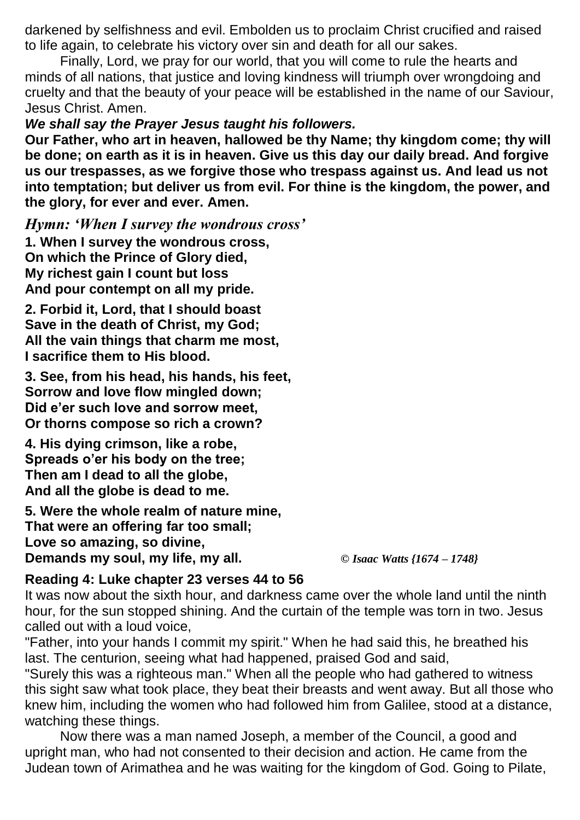darkened by selfishness and evil. Embolden us to proclaim Christ crucified and raised to life again, to celebrate his victory over sin and death for all our sakes.

Finally, Lord, we pray for our world, that you will come to rule the hearts and minds of all nations, that justice and loving kindness will triumph over wrongdoing and cruelty and that the beauty of your peace will be established in the name of our Saviour, Jesus Christ. Amen.

#### *We shall say the Prayer Jesus taught his followers.*

**Our Father, who art in heaven, hallowed be thy Name; thy kingdom come; thy will be done; on earth as it is in heaven. Give us this day our daily bread. And forgive us our trespasses, as we forgive those who trespass against us. And lead us not into temptation; but deliver us from evil. For thine is the kingdom, the power, and the glory, for ever and ever. Amen.**

*Hymn: 'When I survey the wondrous cross'*

**1. When I survey the wondrous cross, On which the Prince of Glory died, My richest gain I count but loss And pour contempt on all my pride.**

**2. Forbid it, Lord, that I should boast Save in the death of Christ, my God; All the vain things that charm me most, I sacrifice them to His blood.**

**3. See, from his head, his hands, his feet, Sorrow and love flow mingled down; Did e'er such love and sorrow meet, Or thorns compose so rich a crown?**

**4. His dying crimson, like a robe, Spreads o'er his body on the tree; Then am I dead to all the globe, And all the globe is dead to me.**

**5. Were the whole realm of nature mine, That were an offering far too small; Love so amazing, so divine, Demands my soul, my life, my all.** *© Isaac Watts {1674 – 1748}*

#### **Reading 4: Luke chapter 23 verses 44 to 56**

It was now about the sixth hour, and darkness came over the whole land until the ninth hour, for the sun stopped shining. And the curtain of the temple was torn in two. Jesus called out with a loud voice,

"Father, into your hands I commit my spirit." When he had said this, he breathed his last. The centurion, seeing what had happened, praised God and said,

"Surely this was a righteous man." When all the people who had gathered to witness this sight saw what took place, they beat their breasts and went away. But all those who knew him, including the women who had followed him from Galilee, stood at a distance, watching these things.

Now there was a man named Joseph, a member of the Council, a good and upright man, who had not consented to their decision and action. He came from the Judean town of Arimathea and he was waiting for the kingdom of God. Going to Pilate,